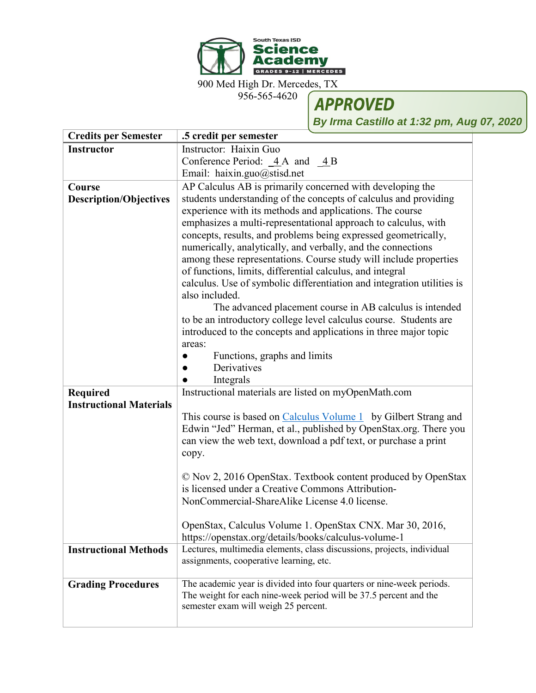

900 Med High Dr. Mercedes, TX

956-565-4620

**APPROVED** 

**By Irma Castillo at 1:32 pm, Aug 07, 2020**

| <b>Credits per Semester</b>    | .5 credit per semester                                                 |
|--------------------------------|------------------------------------------------------------------------|
| <b>Instructor</b>              | Instructor: Haixin Guo                                                 |
|                                | Conference Period: $\angle 4A$ and $\angle 4B$                         |
|                                | Email: haixin.guo@stisd.net                                            |
| Course                         | AP Calculus AB is primarily concerned with developing the              |
| <b>Description/Objectives</b>  | students understanding of the concepts of calculus and providing       |
|                                | experience with its methods and applications. The course               |
|                                | emphasizes a multi-representational approach to calculus, with         |
|                                | concepts, results, and problems being expressed geometrically,         |
|                                | numerically, analytically, and verbally, and the connections           |
|                                | among these representations. Course study will include properties      |
|                                | of functions, limits, differential calculus, and integral              |
|                                | calculus. Use of symbolic differentiation and integration utilities is |
|                                | also included.                                                         |
|                                | The advanced placement course in AB calculus is intended               |
|                                | to be an introductory college level calculus course. Students are      |
|                                | introduced to the concepts and applications in three major topic       |
|                                | areas:                                                                 |
|                                | Functions, graphs and limits<br>Derivatives                            |
|                                | Integrals                                                              |
| <b>Required</b>                | Instructional materials are listed on myOpenMath.com                   |
| <b>Instructional Materials</b> |                                                                        |
|                                | This course is based on Calculus Volume 1 by Gilbert Strang and        |
|                                | Edwin "Jed" Herman, et al., published by OpenStax.org. There you       |
|                                | can view the web text, download a pdf text, or purchase a print        |
|                                | copy.                                                                  |
|                                |                                                                        |
|                                | © Nov 2, 2016 OpenStax. Textbook content produced by OpenStax          |
|                                | is licensed under a Creative Commons Attribution-                      |
|                                | NonCommercial-ShareAlike License 4.0 license.                          |
|                                |                                                                        |
|                                | OpenStax, Calculus Volume 1. OpenStax CNX. Mar 30, 2016,               |
|                                | https://openstax.org/details/books/calculus-volume-1                   |
| <b>Instructional Methods</b>   | Lectures, multimedia elements, class discussions, projects, individual |
|                                | assignments, cooperative learning, etc.                                |
|                                | The academic year is divided into four quarters or nine-week periods.  |
| <b>Grading Procedures</b>      | The weight for each nine-week period will be 37.5 percent and the      |
|                                | semester exam will weigh 25 percent.                                   |
|                                |                                                                        |